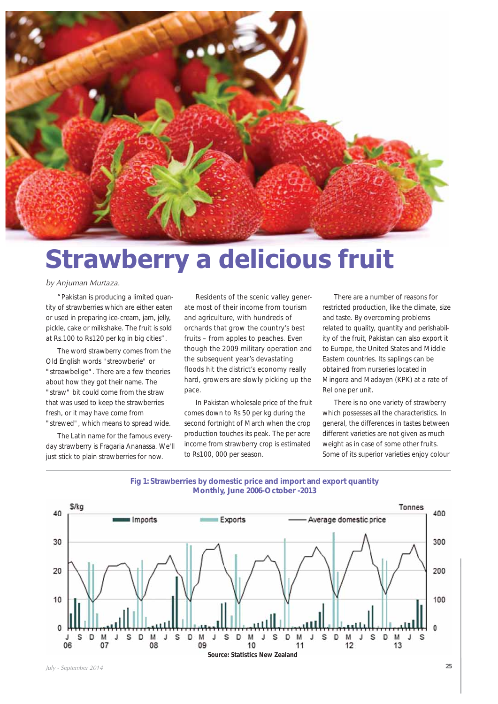

# **Strawberry a delicious fruit**

#### by Anjuman Murtaza.

"Pakistan is producing a limited quantity of strawberries which are either eaten or used in preparing ice-cream, jam, jelly, pickle, cake or milkshake. The fruit is sold at Rs.100 to Rs120 per kg in big cities".

The word strawberry comes from the Old English words "streowberie" or "streawbelige". There are a few theories about how they got their name. The "straw" bit could come from the straw that was used to keep the strawberries fresh, or it may have come from "strewed", which means to spread wide.

The Latin name for the famous everyday strawberry is Fragaria Ananassa. We'll just stick to plain strawberries for now.

Residents of the scenic valley generate most of their income from tourism and agriculture, with hundreds of orchards that grow the country's best fruits – from apples to peaches. Even though the 2009 military operation and the subsequent year's devastating floods hit the district's economy really hard, growers are slowly picking up the pace.

In Pakistan wholesale price of the fruit comes down to Rs 50 per kg during the second fortnight of March when the crop production touches its peak. The per acre income from strawberry crop is estimated to Rs100, 000 per season.

There are a number of reasons for restricted production, like the climate, size and taste. By overcoming problems related to quality, quantity and perishability of the fruit, Pakistan can also export it to Europe, the United States and Middle Eastern countries. Its saplings can be obtained from nurseries located in Mingora and Madayen (KPK) at a rate of ReI one per unit.

There is no one variety of strawberry which possesses all the characteristics. In general, the differences in tastes between different varieties are not given as much weight as in case of some other fruits. Some of its superior varieties enjoy colour



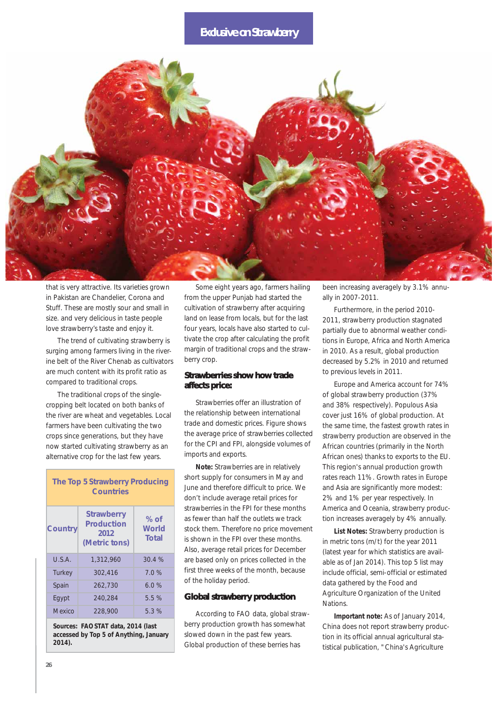## **Exclusive on Strawberry**



that is very attractive. Its varieties grown in Pakistan are Chandelier, Corona and Stuff. These are mostly sour and small in size. and very delicious in taste people love strawberry's taste and enjoy it.

The trend of cultivating strawberry is surging among farmers living in the riverine belt of the River Chenab as cultivators are much content with its profit ratio as compared to traditional crops.

The traditional crops of the singlecropping belt located on both banks of the river are wheat and vegetables. Local farmers have been cultivating the two crops since generations, but they have now started cultivating strawberry as an alternative crop for the last few years.

| <b>The Top 5 Strawberry Producing</b><br><b>Countries</b> |                                                          |                                      |  |
|-----------------------------------------------------------|----------------------------------------------------------|--------------------------------------|--|
| <b>Country</b>                                            | <b>Strawberry</b><br>Production<br>2012<br>(Metric tons) | % of<br><b>World</b><br><b>Total</b> |  |
| U.S.A.                                                    | 1,312,960                                                | 30.4%                                |  |
| <b>Turkey</b>                                             | 302,416                                                  | 7.0%                                 |  |
| Spain                                                     | 262,730                                                  | 6.0%                                 |  |
| Eqypt                                                     | 240.284                                                  | 5.5%                                 |  |
| Mexico                                                    | 228,900                                                  | 5.3%                                 |  |

**Sources: FAOSTAT data, 2014 (last accessed by Top 5 of Anything, January 2014).** 

Some eight years ago, farmers hailing from the upper Punjab had started the cultivation of strawberry after acquiring land on lease from locals, but for the last four years, locals have also started to cultivate the crop after calculating the profit margin of traditional crops and the strawberry crop.

#### **Strawberries show how trade affects price:**

Strawberries offer an illustration of the relationship between international trade and domestic prices. Figure shows the average price of strawberries collected for the CPI and FPI, alongside volumes of imports and exports.

**Note:** Strawberries are in relatively short supply for consumers in May and June and therefore difficult to price. We don't include average retail prices for strawberries in the FPI for these months as fewer than half the outlets we track stock them. Therefore no price movement is shown in the FPI over these months. Also, average retail prices for December are based only on prices collected in the first three weeks of the month, because of the holiday period.

#### **Global strawberry production**

According to FAO data, global strawberry production growth has somewhat slowed down in the past few years. Global production of these berries has

been increasing averagely by 3.1% annually in 2007-2011.

Furthermore, in the period 2010- 2011, strawberry production stagnated partially due to abnormal weather conditions in Europe, Africa and North America in 2010. As a result, global production decreased by 5.2% in 2010 and returned to previous levels in 2011.

Europe and America account for 74% of global strawberry production (37% and 38% respectively). Populous Asia cover just 16% of global production. At the same time, the fastest growth rates in strawberry production are observed in the African countries (primarily in the North African ones) thanks to exports to the EU. This region's annual production growth rates reach 11%. Growth rates in Europe and Asia are significantly more modest: 2% and 1% per year respectively. In America and Oceania, strawberry production increases averagely by 4% annually.

**List Notes:** Strawberry production is in metric tons (m/t) for the year 2011 (latest year for which statistics are available as of Jan 2014). This top 5 list may include official, semi-official or estimated data gathered by the Food and Agriculture Organization of the United Nations.

**Important note:** As of January 2014, China does not report strawberry production in its official annual agricultural statistical publication, "China's Agriculture